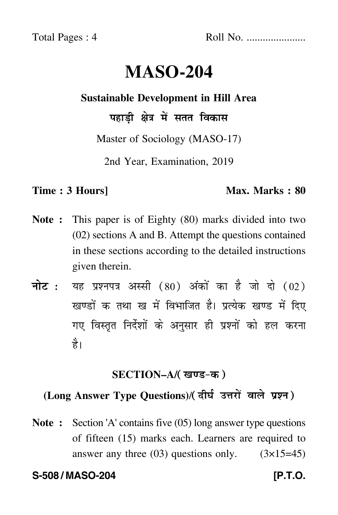Total Pages : 4 Roll No. ......................

# **MASO-204**

#### **Sustainable Development in Hill Area**

पहाड़ी क्षेत्र में सतत विकास

Master of Sociology (MASO-17)

2nd Year, Examination, 2019

#### **Time : 3 Hours]** Max. Marks : 80

- **Note :** This paper is of Eighty (80) marks divided into two (02) sections A and B. Attempt the questions contained in these sections according to the detailed instructions given therein.
- नोट : यह प्रश्नपत्र अस्सी (80) अंकों का है जो दो (02) खण्डों क तथा ख में विभाजित है। प्रत्येक खण्ड में दिए गए विस्तृत निर्देशों के अनुसार ही प्रश्नों को हल करन<mark>ा</mark> है।

#### **SECTION–A/**

### **(Long Answer Type Questions)**/

**Note :** Section 'A' contains five (05) long answer type questions of fifteen (15) marks each. Learners are required to answer any three  $(03)$  questions only.  $(3\times15=45)$ 

#### **S-508 / MASO-204 [P.T.O.**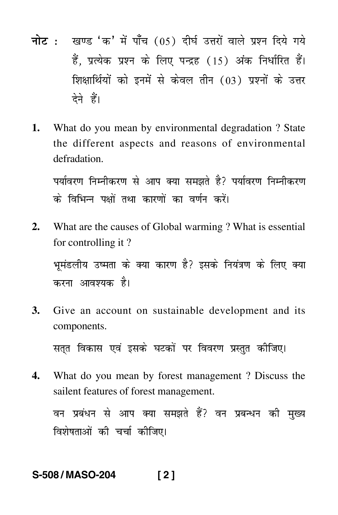- नोट : खण्ड 'क' में पाँच (05) दीर्घ उत्तरों वाले प्रश्न दिये गये हैं. प्रत्येक प्रश्न के लिए पन्द्रह (15) अंक निर्धारित हैं। शिक्षार्थियों को इनमें से केवल तीन (03) प्रश्नों के उत्तर देने हैं।
- What do you mean by environmental degradation? State 1. the different aspects and reasons of environmental defradation.

पर्यावरण निम्नीकरण से आप क्या समझते है? पर्यावरण निम्नीकरण के विभिन्न पक्षों तथा कारणों का वर्णन करें।

- $2.$ What are the causes of Global warming ? What is essential for controlling it? भूमंडलीय उष्मता के क्या कारण है? इसके नियंत्रण के लिए क्या करना आवश्यक है।
- Give an account on sustainable development and its **3.** components.

सतुत विकास एवं इसके घटकों पर विवरण प्रस्तुत कीजिए।

What do you mean by forest management? Discuss the 4. sailent features of forest management.

वन प्रबंधन से आप क्या समझते हैं? वन प्रबन्धन की मुख्य विशेषताओं की चर्चा कीजिए।

#### S-508/MASO-204  $[2]$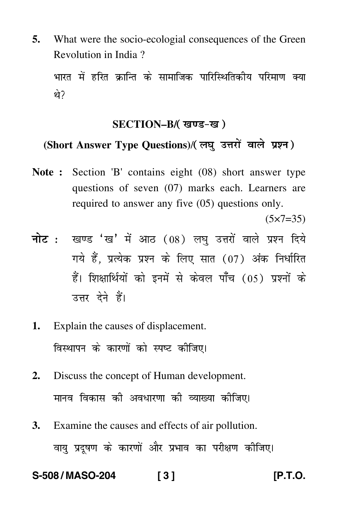**5.** What were the socio-ecologial consequences of the Green Revolution in India ?

भारत में हरित क्रान्ति के सामाजिक पारिस्थितिकीय परिमाण क्य T थे?

#### **SECTION–B/**

## (Short Answer Type Questions)/(लघु उत्तरों वाले प्रश्न)

**Note :** Section 'B' contains eight (08) short answer type questions of seven (07) marks each. Learners are required to answer any five (05) questions only.

 $(5 \times 7 = 35)$ 

- <mark>नोट</mark> : खण्ड 'ख' में आठ (08) लघु उत्तरों वाले प्रश्न दिये गये हैं, प्रत्येक प्रश्न के लिए सात (07) अंक निर्धारित हैं। शिक्षार्थियों को इनमें से केवल पाँच (05) प्रश्नों के उत्तर देने हैं।
- **1.** Explain the causes of displacement. विस्थापन के कारणों को स्पष्ट कीजिए।
- **2.** Discuss the concept of Human development. मानव विकास की अवधारणा की व्याख्या क<mark>ी</mark>जिए।
- **3.** Examine the causes and effects of air pollution. वायु प्रदूषण के कारणों और प्रभाव का परीक्षण कीजिए।

**S-508 / MASO-204 [ 3 ] [P.T.O.**